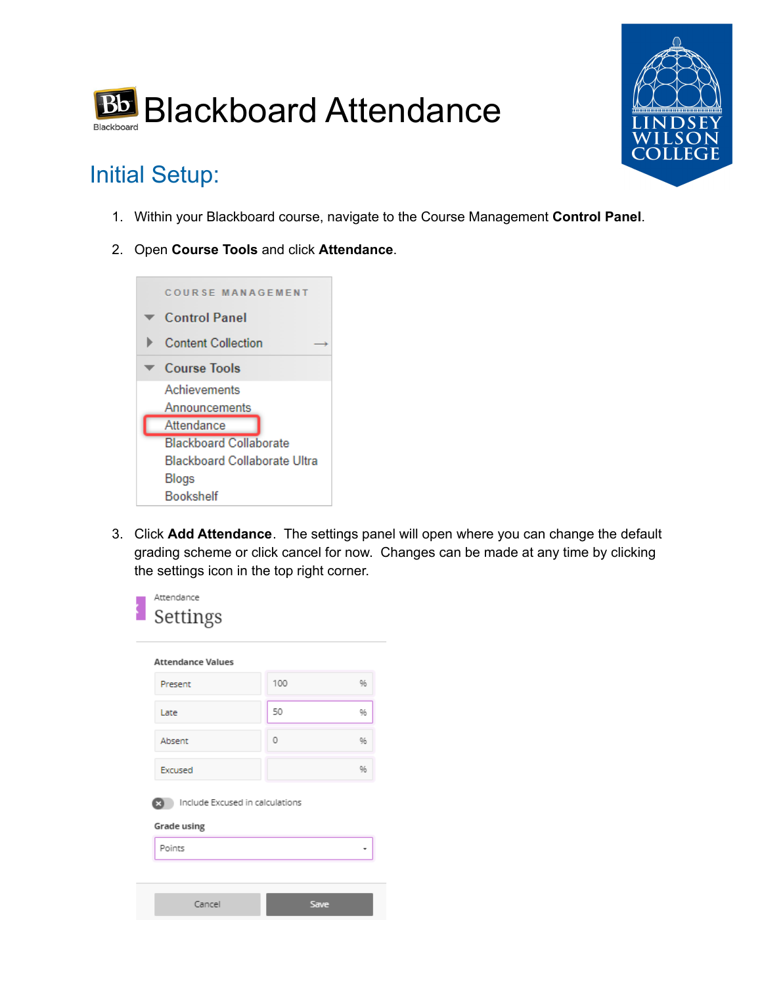



## Initial Setup:

- 1. Within your Blackboard course, navigate to the Course Management **Control Panel**.
- 2. Open **Course Tools** and click **Attendance**.



3. Click **Add Attendance**. The settings panel will open where you can change the default grading scheme or click cancel for now. Changes can be made at any time by clicking the settings icon in the top right corner.

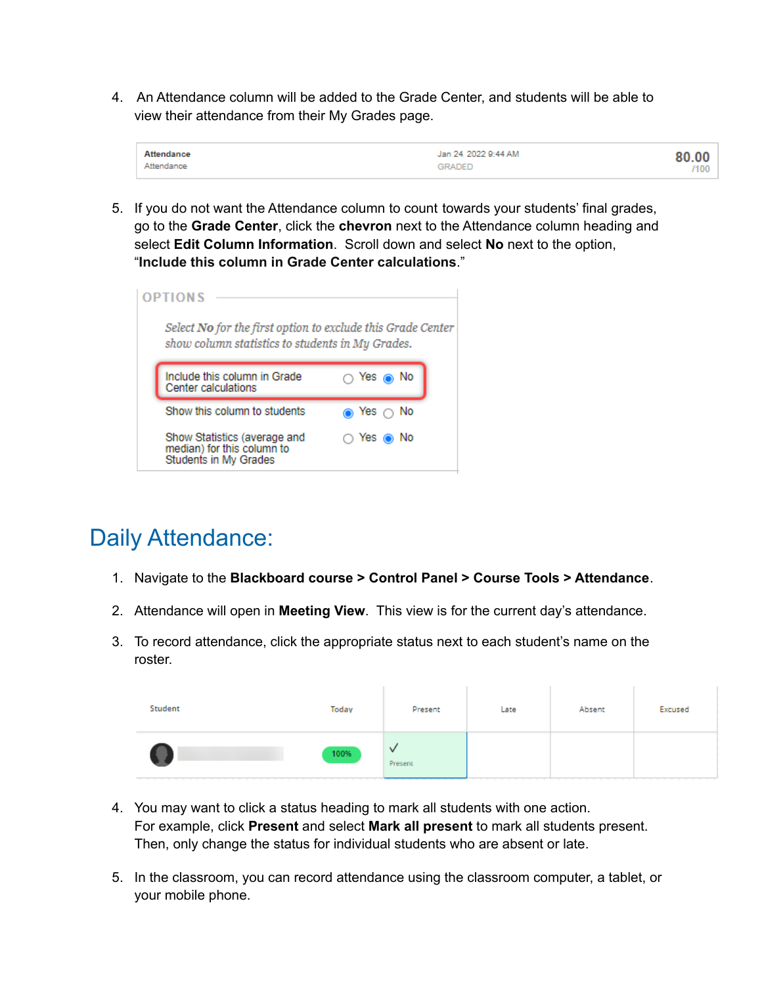4. An Attendance column will be added to the Grade Center, and students will be able to view their attendance from their My Grades page.

5. If you do not want the Attendance column to count towards your students' final grades, go to the **Grade Center**, click the **chevron** next to the Attendance column heading and select **Edit Column Information**. Scroll down and select **No** next to the option, "**Include this column in Grade Center calculations**."

|  | OPTIONS                                                                                                         |                                 |  |  |  |
|--|-----------------------------------------------------------------------------------------------------------------|---------------------------------|--|--|--|
|  | Select No for the first option to exclude this Grade Center<br>show column statistics to students in My Grades. |                                 |  |  |  |
|  | Include this column in Grade<br>Center calculations                                                             | $\bigcirc$ Yes $\circledast$ No |  |  |  |
|  | Show this column to students                                                                                    | Yes $\cap$ No                   |  |  |  |
|  | Show Statistics (average and<br>median) for this column to<br>Students in My Grades                             | Yes ⊚ No                        |  |  |  |

## Daily Attendance:

- 1. Navigate to the **Blackboard course > Control Panel > Course Tools > Attendance**.
- 2. Attendance will open in **Meeting View**. This view is for the current day's attendance.
- 3. To record attendance, click the appropriate status next to each student's name on the roster.

| Student | Today | Present | Late | Absent | Excused |
|---------|-------|---------|------|--------|---------|
|         | 100%  | Present |      |        |         |

- 4. You may want to click a status heading to mark all students with one action. For example, click **Present** and select **Mark all present** to mark all students present. Then, only change the status for individual students who are absent or late.
- 5. In the classroom, you can record attendance using the classroom computer, a tablet, or your mobile phone.